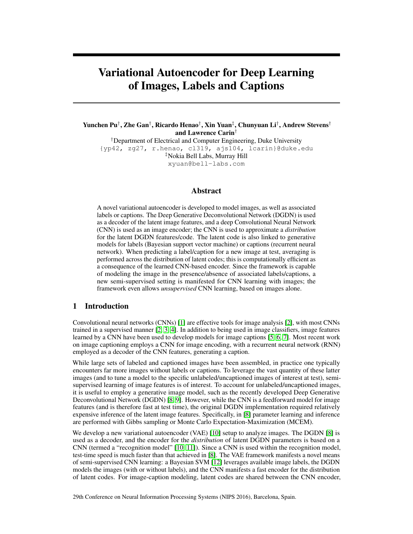# Variational Autoencoder for Deep Learning of Images, Labels and Captions

Yunchen Pu† , Zhe Gan† , Ricardo Henao† , Xin Yuan‡ , Chunyuan Li† , Andrew Stevens† and Lawrence Carin†

†Department of Electrical and Computer Engineering, Duke University {yp42, zg27, r.henao, cl319, ajs104, lcarin}@duke.edu ‡Nokia Bell Labs, Murray Hill xyuan@bell-labs.com

# Abstract

A novel variational autoencoder is developed to model images, as well as associated labels or captions. The Deep Generative Deconvolutional Network (DGDN) is used as a decoder of the latent image features, and a deep Convolutional Neural Network (CNN) is used as an image encoder; the CNN is used to approximate a *distribution* for the latent DGDN features/code. The latent code is also linked to generative models for labels (Bayesian support vector machine) or captions (recurrent neural network). When predicting a label/caption for a new image at test, averaging is performed across the distribution of latent codes; this is computationally efficient as a consequence of the learned CNN-based encoder. Since the framework is capable of modeling the image in the presence/absence of associated labels/captions, a new semi-supervised setting is manifested for CNN learning with images; the framework even allows *unsupervised* CNN learning, based on images alone.

## 1 Introduction

Convolutional neural networks (CNNs) [\[1\]](#page-8-0) are effective tools for image analysis [\[2\]](#page-8-1), with most CNNs trained in a supervised manner [\[2,](#page-8-1) [3,](#page-8-2) [4\]](#page-8-3). In addition to being used in image classifiers, image features learned by a CNN have been used to develop models for image captions [\[5,](#page-8-4) [6,](#page-8-5) [7\]](#page-8-6). Most recent work on image captioning employs a CNN for image encoding, with a recurrent neural network (RNN) employed as a decoder of the CNN features, generating a caption.

While large sets of labeled and captioned images have been assembled, in practice one typically encounters far more images without labels or captions. To leverage the vast quantity of these latter images (and to tune a model to the specific unlabeled/uncaptioned images of interest at test), semisupervised learning of image features is of interest. To account for unlabeled/uncaptioned images, it is useful to employ a generative image model, such as the recently developed Deep Generative Deconvolutional Network (DGDN) [\[8,](#page-8-7) [9\]](#page-8-8). However, while the CNN is a feedforward model for image features (and is therefore fast at test time), the original DGDN implementation required relatively expensive inference of the latent image features. Specifically, in [\[8\]](#page-8-7) parameter learning and inference are performed with Gibbs sampling or Monte Carlo Expectation-Maximization (MCEM).

We develop a new variational autoencoder (VAE) [\[10\]](#page-8-9) setup to analyze images. The DGDN [\[8\]](#page-8-7) is used as a decoder, and the encoder for the *distribution* of latent DGDN parameters is based on a CNN (termed a "recognition model" [\[10,](#page-8-9) [11\]](#page-8-10)). Since a CNN is used within the recognition model, test-time speed is much faster than that achieved in [\[8\]](#page-8-7). The VAE framework manifests a novel means of semi-supervised CNN learning: a Bayesian SVM [\[12\]](#page-8-11) leverages available image labels, the DGDN models the images (with or without labels), and the CNN manifests a fast encoder for the distribution of latent codes. For image-caption modeling, latent codes are shared between the CNN encoder,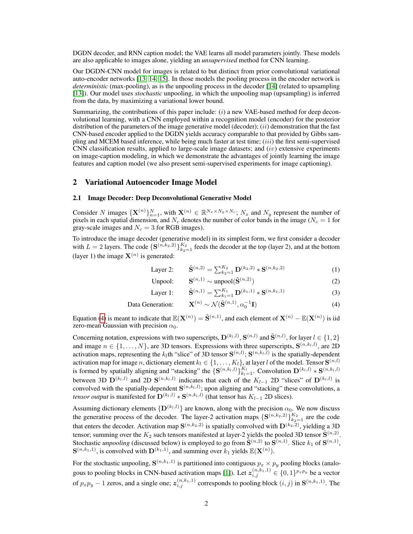DGDN decoder, and RNN caption model; the VAE learns all model parameters jointly. These models are also applicable to images alone, yielding an *unsupervised* method for CNN learning.

Our DGDN-CNN model for images is related to but distinct from prior convolutional variational auto-encoder networks [\[13,](#page-8-12) [14,](#page-8-13) [15\]](#page-8-14). In those models the pooling process in the encoder network is *deterministic* (max-pooling), as is the unpooling process in the decoder [\[14\]](#page-8-13) (related to upsampling [\[13\]](#page-8-12)). Our model uses *stochastic* unpooling, in which the unpooling map (upsampling) is inferred from the data, by maximizing a variational lower bound.

Summarizing, the contributions of this paper include:  $(i)$  a new VAE-based method for deep deconvolutional learning, with a CNN employed within a recognition model (encoder) for the posterior distribution of the parameters of the image generative model (decoder);  $(ii)$  demonstration that the fast CNN-based encoder applied to the DGDN yields accuracy comparable to that provided by Gibbs sampling and MCEM based inference, while being much faster at test time;  $(iii)$  the first semi-supervised CNN classification results, applied to large-scale image datasets; and  $(iv)$  extensive experiments on image-caption modeling, in which we demonstrate the advantages of jointly learning the image features and caption model (we also present semi-supervised experiments for image captioning).

## <span id="page-1-3"></span>2 Variational Autoencoder Image Model

#### 2.1 Image Decoder: Deep Deconvolutional Generative Model

Consider N images  $\{X^{(n)}\}_{n=1}^N$ , with  $X^{(n)} \in \mathbb{R}^{N_x \times N_y \times N_c}$ ;  $N_x$  and  $N_y$  represent the number of pixels in each spatial dimension, and N<sub>c</sub> denotes the number of color bands in the image ( $N_c = 1$  for gray-scale images and  $N_c = 3$  for RGB images).

To introduce the image decoder (generative model) in its simplest form, we first consider a decoder with  $L = 2$  layers. The code  $\{S^{(n,k_2,2)}\}_{k_2=1}^{K_2}$  feeds the decoder at the top (layer 2), and at the bottom (layer 1) the image  $X^{(n)}$  is generated:

<span id="page-1-2"></span><span id="page-1-1"></span>Layer 2: 
$$
\tilde{\mathbf{S}}^{(n,2)} = \sum_{k_2=1}^{K_2} \mathbf{D}^{(k_2,2)} * \mathbf{S}^{(n,k_2,2)}
$$
 (1)

<span id="page-1-0"></span>Unpool: 
$$
\mathbf{S}^{(n,1)} \sim \text{unpool}(\tilde{\mathbf{S}}^{(n,2)})
$$
 (2)

Layer 1: 
$$
\tilde{\mathbf{S}}^{(n,1)} = \sum_{k_1=1}^{K_1} \mathbf{D}^{(k_1,1)} * \mathbf{S}^{(n,k_1,1)}
$$
 (3)

Data Generation: 
$$
\mathbf{X}^{(n)} \sim \mathcal{N}(\tilde{\mathbf{S}}^{(n,1)}, \alpha_0^{-1}\mathbf{I})
$$
 (4)

Equation [\(4\)](#page-1-0) is meant to indicate that  $\mathbb{E}(\mathbf{X}^{(n)}) = \tilde{\mathbf{S}}^{(n,1)}$ , and each element of  $\mathbf{X}^{(n)} - \mathbb{E}(\mathbf{X}^{(n)})$  is iid zero-mean Gaussian with precision  $\alpha_0$ .

Concerning notation, expressions with two superscripts,  $\mathbf{D}^{(k_l,l)}$ ,  $\mathbf{S}^{(n,l)}$  and  $\tilde{\mathbf{S}}^{(n,l)}$ , for layer  $l \in \{1,2\}$ and image  $n \in \{1, ..., N\}$ , are 3D tensors. Expressions with three superscripts,  $S^{(n,k_l,l)}$ , are 2D activation maps, representing the  $k_l$ th "slice" of 3D tensor  $\mathbf{S}^{(n,l)}$ ;  $\mathbf{S}^{(n,k_l,l)}$  is the spatially-dependent activation map for image  $n$ , dictionary element  $k_l \in \{1,\ldots,K_l\},$  at layer  $l$  of the model. Tensor  $\mathbf{S}^{(n,l)}$ is formed by spatially aligning and "stacking" the  $\{S^{(n,k_l,l)}\}_{k_l=1}^{K_l}$ . Convolution  $D^{(k_l,l)} * S^{(n,k_l,l)}$ between 3D  $\mathbf{D}^{(k_l,l)}$  and 2D  $\mathbf{S}^{(n,k_l,l)}$  indicates that each of the  $K_{l-1}$  2D "slices" of  $\mathbf{D}^{(k_l,l)}$  is convolved with the spatially-dependent  $S^{(n,k_l,l)}$ ; upon aligning and "stacking" these convolutions, a *tensor output* is manifested for  $\mathbf{D}^{(k_l,l)} \ast \mathbf{S}^{(n,k_l,l)}$  (that tensor has  $K_{l-1}$  2D slices).

Assuming dictionary elements  $\{D^{(k_l,l)}\}$  are known, along with the precision  $\alpha_0$ . We now discuss the generative process of the decoder. The layer-2 activation maps  $\{S^{(n,k_2,2)}\}_{k_2=1}^{K_2}$  are the code that enters the decoder. Activation map  $\mathbf{S}^{(n,k_2,2)}$  is spatially convolved with  $\mathbf{D}^{(k_2,2)}$ , yielding a 3D tensor; summing over the  $K_2$  such tensors manifested at layer-2 yields the pooled 3D tensor  $\tilde{S}^{(n,2)}$ . Stochastic *unpooling* (discussed below) is employed to go from  $\tilde{S}^{(n,2)}$  to  $S^{(n,1)}$ . Slice  $k_1$  of  $S^{(n,1)}$ ,  $\mathbf{S}^{(n,k_1,1)}$ , is convolved with  $\mathbf{D}^{(k_1,1)}$ , and summing over  $k_1$  yields  $\mathbb{E}(\mathbf{X}^{(n)})$ .

For the stochastic unpooling,  $S^{(n,k_1,1)}$  is partitioned into contiguous  $p_x \times p_y$  pooling blocks (analo-gous to pooling blocks in CNN-based activation maps [\[1\]](#page-8-0)). Let  $z_{i,j}^{(n,k_1,1)} \in \{0,1\}^{p_x p_y}$  be a vector of  $p_x p_y - 1$  zeros, and a single one;  $z_{i,j}^{(n,k_1,1)}$  corresponds to pooling block  $(i, j)$  in  $\mathbf{S}^{(n,k_1,1)}$ . The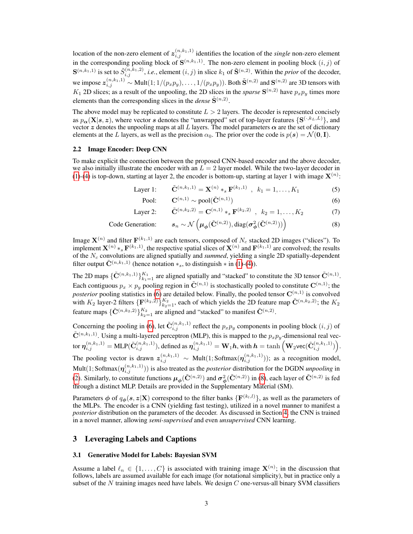location of the non-zero element of  $z_{i,j}^{(n,k_1,1)}$  identifies the location of the *single* non-zero element in the corresponding pooling block of  $S^{(n,k_1,1)}$ . The non-zero element in pooling block  $(i, j)$  of  $\mathbf{S}^{(n,k_1,1)}$  is set to  $\tilde{S}^{(n,k_1,2)}_{i,j}$ , *i.e.*, element  $(i,j)$  in slice  $k_1$  of  $\tilde{\mathbf{S}}^{(n,2)}$ . Within the *prior* of the decoder, we impose  $\mathbf{z}_{i,j}^{(n,k_1,1)} \sim \text{Mult}(1;1/(p_xp_y),\ldots,1/(p_xp_y)).$  Both  $\tilde{\mathbf{S}}^{(n,2)}$  and  $\mathbf{S}^{(n,2)}$  are 3D tensors with  $K_1$  2D slices; as a result of the unpooling, the 2D slices in the *sparse*  $S^{(n,2)}$  have  $p_x p_y$  times more elements than the corresponding slices in the *dense*  $\tilde{S}^{(n,2)}$ .

The above model may be replicated to constitute  $L > 2$  layers. The decoder is represented concisely as  $p_{\alpha}(\mathbf{X}|s,z)$ , where vector s denotes the "unwrapped" set of top-layer features  $\{\mathbf{S}^{(\cdot,k_L,L)}\}$ , and vector z denotes the unpooling maps at all L layers. The model parameters  $\alpha$  are the set of dictionary elements at the L layers, as well as the precision  $\alpha_0$ . The prior over the code is  $p(s) = \mathcal{N}(0, I)$ .

## 2.2 Image Encoder: Deep CNN

To make explicit the connection between the proposed CNN-based encoder and the above decoder, we also initially illustrate the encoder with an  $L = 2$  layer model. While the two-layer decoder in [\(1\)](#page-1-1)-[\(4\)](#page-1-0) is top-down, starting at layer 2, the encoder is bottom-up, starting at layer 1 with image  $\mathbf{X}^{(n)}$ :

Layer 1:  $\tilde{\mathbf{C}}^{(n,k_1,1)} = \mathbf{X}^{(n)} *_{s} \mathbf{F}^{(k_1,1)}$ ,  $k_1 = 1, ..., K_1$  (5)

<span id="page-2-1"></span><span id="page-2-0"></span>
$$
\text{Pool:} \qquad \mathbf{C}^{(n,1)} \sim \text{pool}(\tilde{\mathbf{C}}^{(n,1)}) \tag{6}
$$

Layer 2: 
$$
\tilde{\mathbf{C}}^{(n,k_2,2)} = \mathbf{C}^{(n,1)} *_{s} \mathbf{F}^{(k_2,2)}, k_2 = 1, ..., K_2
$$
 (7)

Code Generation: 
$$
s_n \sim \mathcal{N}\left(\mu_\phi(\tilde{\mathbf{C}}^{(n,2)}), \text{diag}(\sigma^2_\phi(\tilde{\mathbf{C}}^{(n,2)}))\right)
$$
 (8)

Image  $\mathbf{X}^{(n)}$  and filter  $\mathbf{F}^{(k_1,1)}$  are each tensors, composed of  $N_c$  stacked 2D images ("slices"). To implement  $X^{(n)} *_{s} F^{(k_1,1)}$ , the respective spatial slices of  $X^{(n)}$  and  $F^{(k_1,1)}$  are convolved; the results of the  $N_c$  convolutions are aligned spatially and *summed*, yielding a single 2D spatially-dependent filter output  $\tilde{C}^{(n,k_1,1)}$  (hence notation  $*_s$ , to distinguish  $*$  in [\(1\)](#page-1-1)-[\(4\)](#page-1-0)).

The 2D maps  $\{\tilde{C}^{(n,k_1,1)}\}_{k_1=1}^{K_1}$  are aligned spatially and "stacked" to constitute the 3D tensor  $\tilde{C}^{(n,1)}$ . Each contiguous  $p_x \times p_y$  pooling region in  $\tilde{\mathbf{C}}^{(n,1)}$  is stochastically pooled to constitute  $\mathbf{C}^{(n,1)}$ ; the *posterior* pooling statistics in [\(6\)](#page-2-0) are detailed below. Finally, the pooled tensor  $\mathbf{C}^{(n,1)}$  is convolved with  $K_2$  layer-2 filters  $\{F^{(k_2,2)}\}_{k_2=1}^{K_2}$ , each of which yields the 2D feature map  $\tilde{C}^{(n,k_2,2)}$ ; the  $K_2$ feature maps  $\{\tilde{\mathbf{C}}^{(n,k_2,2)}\}_{k_2=1}^{K_2}$  are aligned and "stacked" to manifest  $\tilde{\mathbf{C}}^{(n,2)}$ .

Concerning the pooling in [\(6\)](#page-2-0), let  $\tilde{\mathbf{C}}_{i,j}^{(n,k_1,1)}$  reflect the  $p_xp_y$  components in pooling block  $(i, j)$  of  $ilde{C}^{(n,k_1,1)}$ . Using a multi-layered perceptron (MLP), this is mapped to the  $p_xp_y$ -dimensional real vector  $\boldsymbol{\eta}^{(n,k_1,1)}_{i,j} = \text{MLP}(\tilde{\mathbf{C}}^{(n,k_1,1)}_{i,j}),$  defined as  $\boldsymbol{\eta}^{(n,k_1,1)}_{i,j} = \mathbf{W}_1\boldsymbol{h},$  with  $\boldsymbol{h} = \tanh\left(\mathbf{W}_2$ vec $(\tilde{\mathbf{C}}^{(n,k_1,1)}_{i,j})\right)$ . The pooling vector is drawn  $z_{i,j}^{(n,k_1,1)} \sim \text{Mult}(1; \text{Softmax}(\boldsymbol{\eta}_{i,j}^{(n,k_1,1)}));$  as a recognition model,  $Mult(1; Softmax(\boldsymbol{\eta}_{i,j}^{(n,k_1,1)}))$  is also treated as the *posterior* distribution for the DGDN *unpooling* in [\(2\)](#page-1-2). Similarly, to constitute functions  $\mu_{\phi}(\tilde{C}^{(n,2)})$  and  $\sigma_{\phi}^2(\tilde{C}^{(n,2)})$  in [\(8\)](#page-2-1), each layer of  $\tilde{C}^{(n,2)}$  is fed through a distinct MLP. Details are provided in the Supplementary Material (SM).

Parameters  $\phi$  of  $q_{\phi}(s, z | \textbf{X})$  correspond to the filter banks  $\{\textbf{F}^{(k_l, l)}\}$ , as well as the parameters of the MLPs. The encoder is a CNN (yielding fast testing), utilized in a novel manner to manifest a *posterior* distribution on the parameters of the decoder. As discussed in Section [4,](#page-3-0) the CNN is trained in a novel manner, allowing *semi-supervised* and even *unsupervised* CNN learning.

## 3 Leveraging Labels and Captions

#### <span id="page-2-2"></span>3.1 Generative Model for Labels: Bayesian SVM

Assume a label  $\ell_n \in \{1, ..., C\}$  is associated with training image  $\mathbf{X}^{(n)}$ ; in the discussion that follows, labels are assumed available for each image (for notational simplicity), but in practice only a subset of the  $N$  training images need have labels. We design  $C$  one-versus-all binary SVM classifiers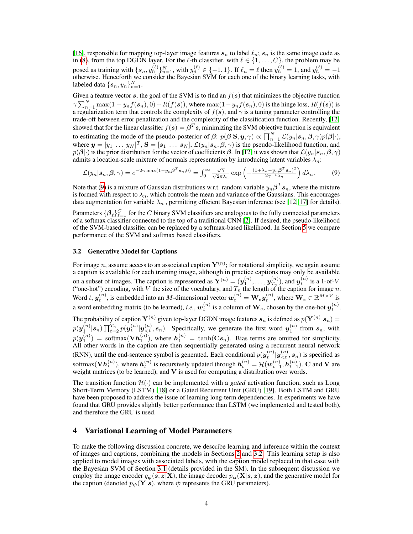[\[16\]](#page-8-15), responsible for mapping top-layer image features  $s_n$  to label  $\ell_n$ ;  $s_n$  is the same image code as in [\(8\)](#page-2-1), from the top DGDN layer. For the  $\ell$ -th classifier, with  $\ell \in \{1, \ldots, C\}$ , the problem may be posed as training with  $\{s_n, y_n^{(\ell)}\}_{n=1}^N$ , with  $y_n^{(\ell)} \in \{-1, 1\}$ . If  $\ell_n = \ell$  then  $y_n^{(\ell)} = 1$ , and  $y_n^{(\ell)} = -1$ otherwise. Henceforth we consider the Bayesian SVM for each one of the binary learning tasks, with labeled data  $\{\boldsymbol{s}_n, y_n\}_{n=1}^N$ .

Given a feature vector  $s$ , the goal of the SVM is to find an  $f(s)$  that minimizes the objective function  $\gamma \sum_{n=1}^{N} \max(1 - y_n f(\boldsymbol{s}_n), 0) + R(f(\boldsymbol{s})),$  where  $\max(1 - y_n f(\boldsymbol{s}_n), 0)$  is the hinge loss,  $R(f(\boldsymbol{s}))$  is a regularization term that controls the complexity of  $f(s)$ , and  $\gamma$  is a tuning parameter controlling the trade-off between error penalization and the complexity of the classification function. Recently, [\[12\]](#page-8-11) showed that for the linear classifier  $f(\bm{s}) = \bm{\beta}^T\bm{s}$ , minimizing the SVM objective function is equivalent to estimating the mode of the pseudo-posterior of  $\beta$ :  $p(\beta | \mathbf{S}, \mathbf{y}, \gamma) \propto \prod_{n=1}^{N} \mathcal{L}(y_n | s_n, \beta, \gamma) p(\beta | \cdot),$ where  $\mathbf{y} = [y_1 \dots y_N]^T$ ,  $\mathbf{S} = [s_1 \dots s_N]$ ,  $\mathcal{L}(y_n | s_n, \beta, \gamma)$  is the pseudo-likelihood function, and  $p(\bm{\beta}|\cdot)$  is the prior distribution for the vector of coefficients  $\bm{\beta}.$  In [\[12\]](#page-8-11) it was shown that  $\mathcal{L}(y_n|\bm{s}_n,\bm{\beta},\gamma)$ admits a location-scale mixture of normals representation by introducing latent variables  $\lambda_n$ :

<span id="page-3-1"></span>
$$
\mathcal{L}(y_n|\mathbf{s}_n,\boldsymbol{\beta},\gamma) = e^{-2\gamma \max(1-y_n\boldsymbol{\beta}^T\mathbf{s}_n,0)} = \int_0^\infty \frac{\sqrt{\gamma}}{\sqrt{2\pi\lambda_n}} \exp\left(-\frac{(1+\lambda_n-y_n\boldsymbol{\beta}^T\mathbf{s}_n)^2}{2\gamma^{-1}\lambda_n}\right) d\lambda_n.
$$
 (9)

Note that [\(9\)](#page-3-1) is a mixture of Gaussian distributions w.r.t. random variable  $y_n\bm{\beta}^T\bm{s}_n$ , where the mixture is formed with respect to  $\lambda_n$ , which controls the mean and variance of the Gaussians. This encourages data augmentation for variable  $\lambda_n$ , permitting efficient Bayesian inference (see [\[12,](#page-8-11) [17\]](#page-8-16) for details).

Parameters  $\{\beta_\ell\}_{\ell=1}^C$  for the C binary SVM classifiers are analogous to the fully connected parameters of a softmax classifier connected to the top of a traditional CNN [\[2\]](#page-8-1). If desired, the pseudo-likelihood of the SVM-based classifier can be replaced by a softmax-based likelihood. In Section [5](#page-4-0) we compare performance of the SVM and softmax based classifiers.

### <span id="page-3-2"></span>3.2 Generative Model for Captions

For image n, assume access to an associated caption  $\mathbf{Y}^{(n)}$ ; for notational simplicity, we again assume a caption is available for each training image, although in practice captions may only be available on a subset of images. The caption is represented as  $\mathbf{Y}^{(n)} = (\mathbf{y}_1^{(n)}, \dots, \mathbf{y}_{T_n}^{(n)})$  $\binom{n}{T_n}$ , and  $\boldsymbol{y}_t^{(n)}$  is a 1-of-V ("one-hot") encoding, with V the size of the vocabulary, and  $T_n$  the length of the caption for image n. Word t,  $y_t^{(n)}$ , is embedded into an M-dimensional vector  $w_t^{(n)} = \mathbf{W}_e y_t^{(n)}$ , where  $\mathbf{W}_e \in \mathbb{R}^{M \times V}$  is a word embedding matrix (to be learned), *i.e.*,  $w_t^{(n)}$  is a column of  $\mathbf{W}_e$ , chosen by the one-hot  $y_t^{(n)}$ .

The probability of caption  ${\bf Y}^{(n)}$  given top-layer DGDN image features  $s_n$  is defined as  $p({\bf Y}^{(n)}|s_n)=$  $p(\bm{y}_1^{(n)}|\bm{s}_n)\prod_{t=2}^{T_n}p(\bm{y}_t^{(n)}|\bm{y}_{\leq t}^{(n)},\bm{s}_n)$ . Specifically, we generate the first word  $\bm{y}_1^{(n)}$  from  $\bm{s}_n$ , with  $p(\bm{y}_1^{(n)}) = \text{softmax}(\mathbf{V}\bm{h}_1^{(n)})$ , where  $\bm{h}_1^{(n)} = \tanh(\mathbf{C}\bm{s}_n)$ . Bias terms are omitted for simplicity. All other words in the caption are then sequentially generated using a recurrent neural network (RNN), until the end-sentence symbol is generated. Each conditional  $p(\bm{y}_t^{(n)} | \bm{y}_{ is specified as$ softmax $(\mathbf{V}\boldsymbol{h}^{(n)}_t)$ , where  $\boldsymbol{h}^{(n)}_t$  is recursively updated through  $\boldsymbol{h}^{(n)}_t = \mathcal{H}(\boldsymbol{w}^{(n)}_{t-1},\boldsymbol{h}^{(n)}_{t-1})$ . C and V are weight matrices (to be learned), and  $V$  is used for computing a distribution over words.

The transition function  $\mathcal{H}(\cdot)$  can be implemented with a *gated* activation function, such as Long Short-Term Memory (LSTM) [\[18\]](#page-8-17) or a Gated Recurrent Unit (GRU) [\[19\]](#page-8-18). Both LSTM and GRU have been proposed to address the issue of learning long-term dependencies. In experiments we have found that GRU provides slightly better performance than LSTM (we implemented and tested both), and therefore the GRU is used.

# <span id="page-3-0"></span>4 Variational Learning of Model Parameters

To make the following discussion concrete, we describe learning and inference within the context of images and captions, combining the models in Sections [2](#page-1-3) and [3.2.](#page-3-2) This learning setup is also applied to model images with associated labels, with the caption model replaced in that case with the Bayesian SVM of Section [3.1](#page-2-2) (details provided in the SM). In the subsequent discussion we employ the image encoder  $q_{\phi}(s, z|\mathbf{X})$ , the image decoder  $p_{\alpha}(\mathbf{X}|s, z)$ , and the generative model for the caption (denoted  $p_{\psi}(\mathbf{Y}|\mathbf{s})$ , where  $\psi$  represents the GRU parameters).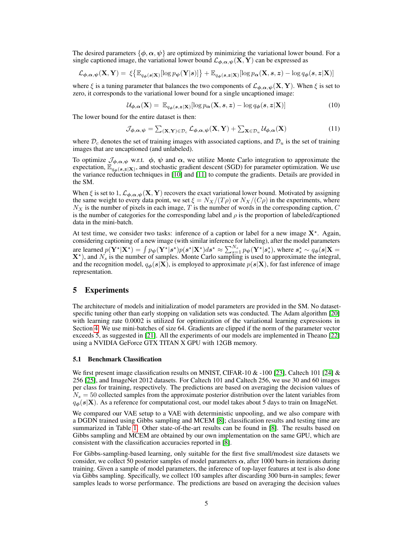The desired parameters  $\{\phi, \alpha, \psi\}$  are optimized by minimizing the variational lower bound. For a single captioned image, the variational lower bound  $\mathcal{L}_{\phi,\alpha,\psi}(\mathbf{X}, \mathbf{Y})$  can be expressed as

$$
\mathcal{L}_{\boldsymbol{\phi}, \boldsymbol{\alpha}, \boldsymbol{\psi}}(\mathbf{X}, \mathbf{Y}) = \xi \big\{ \mathbb{E}_{q_{\boldsymbol{\phi}}(\boldsymbol{s}|\mathbf{X})} [\log p_{\boldsymbol{\psi}}(\mathbf{Y}|\boldsymbol{s})] \big\} + \mathbb{E}_{q_{\boldsymbol{\phi}}(\boldsymbol{s}, \boldsymbol{z}|\mathbf{X})} [\log p_{\boldsymbol{\alpha}}(\mathbf{X}, \boldsymbol{s}, \boldsymbol{z}) - \log q_{\boldsymbol{\phi}}(\boldsymbol{s}, \boldsymbol{z}|\mathbf{X})]
$$

where  $\xi$  is a tuning parameter that balances the two components of  $\mathcal{L}_{\phi,\alpha,\psi}(\mathbf{X},\mathbf{Y})$ . When  $\xi$  is set to zero, it corresponds to the variational lower bound for a single uncaptioned image:

$$
\mathcal{U}_{\phi,\alpha}(\mathbf{X}) = \mathbb{E}_{q_{\phi}(\mathbf{s},\mathbf{z}|\mathbf{X})}[\log p_{\alpha}(\mathbf{X},\mathbf{s},\mathbf{z}) - \log q_{\phi}(\mathbf{s},\mathbf{z}|\mathbf{X})] \tag{10}
$$

The lower bound for the entire dataset is then:

$$
\mathcal{J}_{\boldsymbol{\phi}, \boldsymbol{\alpha}, \boldsymbol{\psi}} = \sum_{(\mathbf{X}, \mathbf{Y}) \in \mathcal{D}_c} \mathcal{L}_{\boldsymbol{\phi}, \boldsymbol{\alpha}, \boldsymbol{\psi}}(\mathbf{X}, \mathbf{Y}) + \sum_{\mathbf{X} \in \mathcal{D}_u} \mathcal{U}_{\boldsymbol{\phi}, \boldsymbol{\alpha}}(\mathbf{X})
$$
(11)

where  $\mathcal{D}_c$  denotes the set of training images with associated captions, and  $\mathcal{D}_u$  is the set of training images that are uncaptioned (and unlabeled).

To optimize  $\mathcal{J}_{\phi,\alpha,\psi}$  w.r.t.  $\phi$ ,  $\psi$  and  $\alpha$ , we utilize Monte Carlo integration to approximate the expectation,  $\mathbb{E}_{q_{\phi}(s,z|\mathbf{X})}$ , and stochastic gradient descent (SGD) for parameter optimization. We use the variance reduction techniques in [\[10\]](#page-8-9) and [\[11\]](#page-8-10) to compute the gradients. Details are provided in the SM.

When  $\xi$  is set to 1,  $\mathcal{L}_{\phi,\alpha,\psi}(\mathbf{X},\mathbf{Y})$  recovers the exact variational lower bound. Motivated by assigning the same weight to every data point, we set  $\xi = N_X/(T\rho)$  or  $N_X/(C\rho)$  in the experiments, where  $N_X$  is the number of pixels in each image, T is the number of words in the corresponding caption, C is the number of categories for the corresponding label and  $\rho$  is the proportion of labeled/captioned data in the mini-batch.

At test time, we consider two tasks: inference of a caption or label for a new image  $X^*$ . Again, considering captioning of a new image (with similar inference for labeling), after the model parameters are learned  $p(\mathbf{Y}^*|\mathbf{X}^*) = \int p_{\boldsymbol{\psi}}(\mathbf{Y}^*|\boldsymbol{s}^*)p(\boldsymbol{s}^*|\mathbf{X}^*)d\boldsymbol{s}^* \approx \sum_{s=1}^{N_s} p_{\boldsymbol{\psi}}(\mathbf{Y}^*|\boldsymbol{s}^*_s)$ , where  $s^*_s \sim q_{\boldsymbol{\phi}}(\boldsymbol{s}|\mathbf{X} =$  $X^*$ ), and  $N_s$  is the number of samples. Monte Carlo sampling is used to approximate the integral, and the recognition model,  $q_{\phi}(s|\mathbf{X})$ , is employed to approximate  $p(s|\mathbf{X})$ , for fast inference of image representation.

## <span id="page-4-0"></span>5 Experiments

The architecture of models and initialization of model parameters are provided in the SM. No datasetspecific tuning other than early stopping on validation sets was conducted. The Adam algorithm [\[20\]](#page-8-19) with learning rate 0.0002 is utilized for optimization of the variational learning expressions in Section [4.](#page-3-0) We use mini-batches of size 64. Gradients are clipped if the norm of the parameter vector exceeds 5, as suggested in [\[21\]](#page-8-20). All the experiments of our models are implemented in Theano [\[22\]](#page-8-21) using a NVIDIA GeForce GTX TITAN X GPU with 12GB memory.

#### 5.1 Benchmark Classification

We first present image classification results on MNIST, CIFAR-10  $\&$  -100 [\[23\]](#page-8-22), Caltech 101 [\[24\]](#page-8-23)  $\&$ 256 [\[25\]](#page-8-24), and ImageNet 2012 datasets. For Caltech 101 and Caltech 256, we use 30 and 60 images per class for training, respectively. The predictions are based on averaging the decision values of  $N_s = 50$  collected samples from the approximate posterior distribution over the latent variables from  $q_{\phi}(s|\mathbf{X})$ . As a reference for computational cost, our model takes about 5 days to train on ImageNet.

We compared our VAE setup to a VAE with deterministic unpooling, and we also compare with a DGDN trained using Gibbs sampling and MCEM [\[8\]](#page-8-7); classification results and testing time are summarized in Table [1.](#page-5-0) Other state-of-the-art results can be found in [\[8\]](#page-8-7). The results based on Gibbs sampling and MCEM are obtained by our own implementation on the same GPU, which are consistent with the classification accuracies reported in [\[8\]](#page-8-7).

For Gibbs-sampling-based learning, only suitable for the first five small/modest size datasets we consider, we collect 50 posterior samples of model parameters  $\alpha$ , after 1000 burn-in iterations during training. Given a sample of model parameters, the inference of top-layer features at test is also done via Gibbs sampling. Specifically, we collect 100 samples after discarding 300 burn-in samples; fewer samples leads to worse performance. The predictions are based on averaging the decision values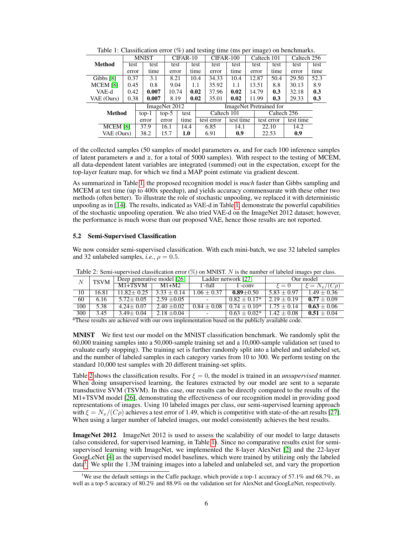<span id="page-5-0"></span>

| racio 1: Chabilitation crisi (70) and testing three (ms per magne) on centrimation |                    |              |               |         |              |             |             |                         |                         |      |       |             |             |             |      |
|------------------------------------------------------------------------------------|--------------------|--------------|---------------|---------|--------------|-------------|-------------|-------------------------|-------------------------|------|-------|-------------|-------------|-------------|------|
| Method                                                                             |                    | <b>MNIST</b> |               |         | CIFAR-10     |             |             |                         | CIFAR-100               |      |       |             | Caltech 101 | Caltech 256 |      |
|                                                                                    |                    | test         |               | test    | test         |             | test        |                         | test                    | test | test  |             | test        | test        | test |
|                                                                                    |                    | error        |               | time    | error        |             | time        |                         | error                   | time | error |             | time        | error       | time |
| Gibbs [8]                                                                          |                    | 0.37         | 3.1           |         |              | 8.21        |             | 10.4                    | 34.33                   | 10.4 | 12.87 |             | 50.4        | 29.50       | 52.3 |
| <b>MCEM [8]</b>                                                                    |                    | 0.45         |               | 0.8     |              | 9.04<br>1.1 |             |                         | 35.92                   | 1.1  | 13.51 |             | 8.8         | 30.13       | 8.9  |
| VAE-d                                                                              |                    | 0.42         | 0.007         |         | 10.74        |             | 0.02        |                         | 37.96                   | 0.02 | 14.79 |             | 0.3         | 32.18       | 0.3  |
|                                                                                    | VAE (Ours)<br>0.38 |              |               | 0.007   | 8.19         |             | 0.02        |                         | 35.01                   | 0.02 | 11.99 |             | 0.3         | 29.33       | 0.3  |
|                                                                                    |                    |              | ImageNet 2012 |         |              |             |             | ImageNet Pretrained for |                         |      |       |             |             |             |      |
| <b>Method</b>                                                                      |                    | $top-1$      |               | $top-5$ | test         |             | Caltech 101 |                         |                         |      |       | Caltech 256 |             |             |      |
|                                                                                    |                    |              | error         |         | error        |             | time        |                         | test time<br>test error |      |       | test error  |             | test time   |      |
|                                                                                    | <b>MCEM [8]</b>    |              | 37.9          |         | 16.1<br>14.4 |             |             | 6.85                    |                         | 14.1 |       | 22.10       |             | 14.2        |      |
|                                                                                    | VAE (Ours)         |              | 38.2          |         | 15.7         | 1.0         |             |                         | 6.91                    | 0.9  |       |             | 22.53       | 0.9         |      |
|                                                                                    |                    |              |               |         |              |             |             |                         |                         |      |       |             |             |             |      |

Table 1: Classification error  $(\% )$  and testing time (ms per image) on benchmarks.

of the collected samples (50 samples of model parameters  $\alpha$ , and for each 100 inference samples of latent parameters  $s$  and  $z$ , for a total of 5000 samples). With respect to the testing of MCEM, all data-dependent latent variables are integrated (summed) out in the expectation, except for the top-layer feature map, for which we find a MAP point estimate via gradient descent.

As summarized in Table [1,](#page-5-0) the proposed recognition model is *much* faster than Gibbs sampling and MCEM at test time (up to 400x speedup), and yields accuracy commensurate with these other two methods (often better). To illustrate the role of stochastic unpooling, we replaced it with deterministic unpooling as in [\[14\]](#page-8-13). The results, indicated as VAE-d in Table [1,](#page-5-0) demonstrate the powerful capabilities of the stochastic unpooling operation. We also tried VAE-d on the ImageNet 2012 dataset; however, the performance is much worse than our proposed VAE, hence those results are not reported.

### 5.2 Semi-Supervised Classification

We now consider semi-supervised classification. With each mini-batch, we use 32 labeled samples and 32 unlabeled samples, *i.e.*,  $\rho = 0.5$ .

|               | <b>TSVM</b> |                 | Deep generative model [26] |                          | Ladder network [27] | Our model     |                   |  |  |  |  |
|---------------|-------------|-----------------|----------------------------|--------------------------|---------------------|---------------|-------------------|--|--|--|--|
|               |             | $M1+TSVM$       | $M1+M2$                    | F-full-                  | $\Gamma$ -conv      | $\xi=0$       | $I = N_x/(C\rho)$ |  |  |  |  |
| 10            | 16.81       | $11.82 + 0.25$  | $3.33 + 0.14$              | $1.06 + 0.37$            | $0.89 + 0.50$       | $5.83 + 0.97$ | $1.49 + 0.36$     |  |  |  |  |
| -60           | 6.16        | $5.72 + 0.05$   | $2.59 + 0.05$              | $\sim$                   | $0.82 + 0.17*$      | $2.19 + 0.19$ | $0.77 + 0.09$     |  |  |  |  |
| 100           | 5.38        | $4.24 \pm 0.07$ | $2.40 + 0.02$              | $0.84 + 0.08$            | $0.74 + 0.10*$      | $1.75 + 0.14$ | $0.63 + 0.06$     |  |  |  |  |
| 300           | 3.45        | $3.49 + 0.04$   | $2.18 \pm 0.04$            | $\overline{\phantom{0}}$ | $0.63 + 0.02*$      | $1.42 + 0.08$ | $0.51 + 0.04$     |  |  |  |  |
| $\sim$ $\sim$ |             |                 |                            |                          |                     |               |                   |  |  |  |  |

<span id="page-5-1"></span>Table 2: Semi-supervised classification error  $(\%)$  on MNIST. N is the number of labeled images per class.

\*These results are achieved with our own implementation based on the publicly available code.

MNIST We first test our model on the MNIST classification benchmark. We randomly split the 60,000 training samples into a 50,000-sample training set and a 10,000-sample validation set (used to evaluate early stopping). The training set is further randomly split into a labeled and unlabeled set, and the number of labeled samples in each category varies from 10 to 300. We perform testing on the standard 10,000 test samples with 20 different training-set splits.

Table [2](#page-5-1) shows the classification results. For  $\xi = 0$ , the model is trained in an *unsupervised* manner. When doing unsupervised learning, the features extracted by our model are sent to a separate transductive SVM (TSVM). In this case, our results can be directly compared to the results of the M1+TSVM model [\[26\]](#page-8-25), demonstrating the effectiveness of our recognition model in providing good representations of images. Using 10 labeled images per class, our semi-supervised learning approach with  $\xi = N_x/(C\rho)$  achieves a test error of 1.49, which is competitive with state-of-the-art results [\[27\]](#page-8-26). When using a larger number of labeled images, our model consistently achieves the best results.

ImageNet 2012 ImageNet 2012 is used to assess the scalability of our model to large datasets (also considered, for supervised learning, in Table [1\)](#page-5-0). Since no comparative results exist for semisupervised learning with ImageNet, we implemented the 8-layer AlexNet [\[2\]](#page-8-1) and the 22-layer GoogLeNet [\[4\]](#page-8-3) as the supervised model baselines, which were trained by utilizing only the labeled data<sup>[1](#page-5-2)</sup>. We split the 1.3M training images into a labeled and unlabeled set, and vary the proportion

<span id="page-5-2"></span><sup>&</sup>lt;sup>1</sup>We use the default settings in the Caffe package, which provide a top-1 accuracy of 57.1% and 68.7%, as well as a top-5 accuracy of 80.2% and 88.9% on the validation set for AlexNet and GoogLeNet, respectively.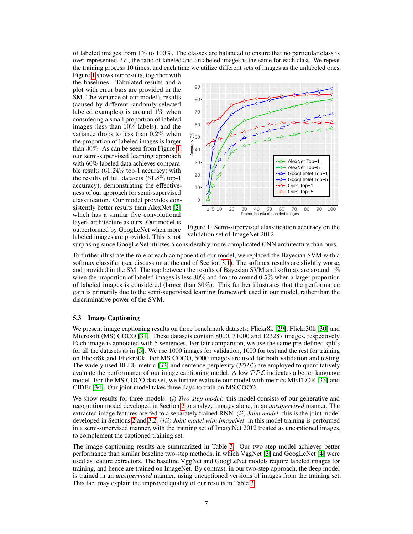of labeled images from 1% to 100%. The classes are balanced to ensure that no particular class is over-represented, *i.e.*, the ratio of labeled and unlabeled images is the same for each class. We repeat the training process 10 times, and each time we utilize different sets of images as the unlabeled ones.

Figure [1](#page-6-0) shows our results, together with the baselines. Tabulated results and a plot with error bars are provided in the SM. The variance of our model's results (caused by different randomly selected labeled examples) is around  $1\%$  when considering a small proportion of labeled images (less than 10% labels), and the variance drops to less than 0.2% when the proportion of labeled images is larger than 30%. As can be seen from Figure [1,](#page-6-0) our semi-supervised learning approach with 60% labeled data achieves comparable results  $(61.24\%$  top-1 accuracy) with the results of full datasets (61.8% top-1 accuracy), demonstrating the effectiveness of our approach for semi-supervised classification. Our model provides consistently better results than AlexNet [\[2\]](#page-8-1) which has a similar five convolutional layers architecture as ours. Our model is outperformed by GoogLeNet when more labeled images are provided. This is not

<span id="page-6-0"></span>

Figure 1: Semi-supervised classification accuracy on the validation set of ImageNet 2012.

surprising since GoogLeNet utilizes a considerably more complicated CNN architecture than ours.

To further illustrate the role of each component of our model, we replaced the Bayesian SVM with a softmax classifier (see discussion at the end of Section [3.1\)](#page-2-2). The softmax results are slightly worse, and provided in the SM. The gap between the results of Bayesian SVM and softmax are around  $1\%$ when the proportion of labeled images is less  $30\%$  and drop to around  $0.5\%$  when a larger proportion of labeled images is considered (larger than 30%). This further illustrates that the performance gain is primarily due to the semi-supervised learning framework used in our model, rather than the discriminative power of the SVM.

## 5.3 Image Captioning

We present image captioning results on three benchmark datasets: Flickr8k [\[29\]](#page-8-27), Flickr30k [\[30\]](#page-8-28) and Microsoft (MS) COCO [\[31\]](#page-8-29). These datasets contain 8000, 31000 and 123287 images, respectively. Each image is annotated with 5 sentences. For fair comparison, we use the same pre-defined splits for all the datasets as in [\[5\]](#page-8-4). We use 1000 images for validation, 1000 for test and the rest for training on Flickr8k and Flickr30k. For MS COCO, 5000 images are used for both validation and testing. The widely used BLEU metric [\[32\]](#page-8-30) and sentence perplexity  $(\mathcal{PPL})$  are employed to quantitatively evaluate the performance of our image captioning model. A low  $PPL$  indicates a better language model. For the MS COCO dataset, we further evaluate our model with metrics METEOR [\[33\]](#page-8-31) and CIDEr [\[34\]](#page-8-32). Our joint model takes three days to train on MS COCO.

We show results for three models: (i) *Two-step model*: this model consists of our generative and recognition model developed in Section [2](#page-1-3) to analyze images alone, in an *unsupervised* manner. The extracted image features are fed to a separately trained RNN. (ii) *Joint model*: this is the joint model developed in Sections [2](#page-1-3) and [3.2.](#page-3-2) (iii) *Joint model with ImageNet*: in this model training is performed in a semi-supervised manner, with the training set of ImageNet 2012 treated as uncaptioned images, to complement the captioned training set.

The image captioning results are summarized in Table [3.](#page-7-0) Our two-step model achieves better performance than similar baseline two-step methods, in which VggNet [\[3\]](#page-8-2) and GoogLeNet [\[4\]](#page-8-3) were used as feature extractors. The baseline VggNet and GoogLeNet models require labeled images for training, and hence are trained on ImageNet. By contrast, in our two-step approach, the deep model is trained in an *unsupervised* manner, using uncaptioned versions of images from the training set. This fact may explain the improved quality of our results in Table [3.](#page-7-0)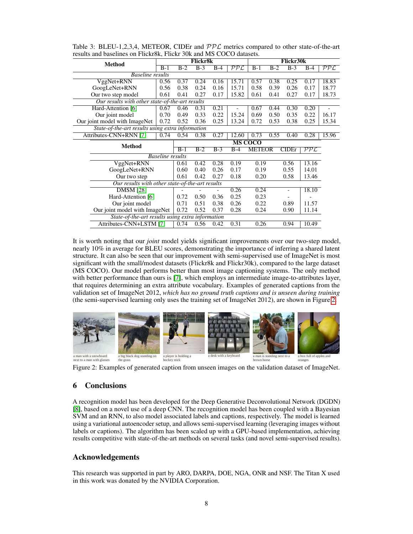| <b>Method</b>                                    |                                                  | Flickr8k |       |       | <b>Flickr30k</b> |               |       |       |                   |       |
|--------------------------------------------------|--------------------------------------------------|----------|-------|-------|------------------|---------------|-------|-------|-------------------|-------|
|                                                  | $B-1$                                            | $B-2$    | $B-3$ | $B-4$ | PPL              | $B-1$         | $B-2$ | $B-3$ | $B-4$             | PPL   |
| <b>Baseline results</b>                          |                                                  |          |       |       |                  |               |       |       |                   |       |
| VggNet+RNN                                       | 0.56                                             | 0.37     | 0.24  | 0.16  | 15.71            | 0.57          | 0.38  | 0.25  | 0.17              | 18.83 |
| GoogLeNet+RNN                                    | 0.56                                             | 0.38     | 0.24  | 0.16  | 15.71            | 0.58          | 0.39  | 0.26  | 0.17              | 18.77 |
| Our two step model                               | 0.61                                             | 0.41     | 0.27  | 0.17  | 15.82            | 0.61          | 0.41  | 0.27  | 0.17              | 18.73 |
| Our results with other state-of-the-art results  |                                                  |          |       |       |                  |               |       |       |                   |       |
| Hard-Attention [6]                               | 0.67                                             | 0.46     | 0.31  | 0.21  |                  | 0.67          | 0.44  | 0.30  | 0.20              |       |
| Our joint model                                  | 0.70                                             | 0.49     | 0.33  | 0.22  | 15.24            | 0.69          | 0.50  | 0.35  | 0.22              | 16.17 |
| Our joint model with ImageNet                    | 0.72                                             | 0.52     | 0.36  | 0.25  | 13.24            | 0.72          | 0.53  | 0.38  | 0.25              | 15.34 |
| State-of-the-art results using extra information |                                                  |          |       |       |                  |               |       |       |                   |       |
| Attributes-CNN+RNN [7]                           | 0.74                                             | 0.54     | 0.38  | 0.27  | 12.60            | 0.73          | 0.55  | 0.40  | 0.28              | 15.96 |
| <b>Method</b>                                    | <b>MS COCO</b>                                   |          |       |       |                  |               |       |       |                   |       |
|                                                  |                                                  |          |       | $B-3$ | $B-4$            | <b>METEOR</b> |       | CIDEr | $\mathcal{PPL}^-$ |       |
|                                                  | <b>Baseline</b> results                          |          |       |       |                  |               |       |       |                   |       |
| VggNet+RNN                                       |                                                  |          |       | 0.28  | 0.19             | 0.19          |       | 0.56  | 13.16             |       |
| GoogLeNet+RNN                                    |                                                  |          |       | 0.26  | 0.17             | 0.19          |       | 0.55  | 14.01             |       |
| Our two step                                     |                                                  |          |       | 0.27  | 0.18             | 0.20          |       | 0.58  | 13.46             |       |
|                                                  | Our results with other state-of-the-art results  |          |       |       |                  |               |       |       |                   |       |
| <b>DMSM</b> [28]                                 |                                                  |          |       |       | 0.26             | 0.24          |       |       | 18.10             |       |
| Hard-Attention [6]                               |                                                  |          |       |       | 0.25             | 0.23          |       |       |                   |       |
| Our joint model                                  |                                                  |          |       |       | 0.26             | 0.22          |       | 0.89  | 11.57             |       |
|                                                  | Our joint model with ImageNet                    |          |       |       | 0.28             | 0.24          |       | 0.90  | 11.14             |       |
|                                                  | State-of-the-art results using extra information |          |       |       |                  |               |       |       |                   |       |
|                                                  | Attributes-CNN+LSTM [7]                          |          |       |       | 0.31             | 0.26          |       | 0.94  | 10.49             |       |

<span id="page-7-0"></span>Table 3: BLEU-1,2,3,4, METEOR, CIDEr and  $\mathcal{PPL}$  metrics compared to other state-of-the-art results and baselines on Flickr8k, Flickr 30k and MS COCO datasets.

It is worth noting that our *joint* model yields significant improvements over our two-step model, nearly 10% in average for BLEU scores, demonstrating the importance of inferring a shared latent structure. It can also be seen that our improvement with semi-supervised use of ImageNet is most significant with the small/modest datasets (Flickr8k and Flickr30k), compared to the large dataset (MS COCO). Our model performs better than most image captioning systems. The only method with better performance than ours is [\[7\]](#page-8-6), which employs an intermediate image-to-attributes layer, that requires determining an extra attribute vocabulary. Examples of generated captions from the validation set of ImageNet 2012, *which has no ground truth captions and is unseen during training* (the semi-supervised learning only uses the training set of ImageNet 2012), are shown in Figure [2.](#page-7-1)

<span id="page-7-1"></span>

Figure 2: Examples of generated caption from unseen images on the validation dataset of ImageNet.

# 6 Conclusions

A recognition model has been developed for the Deep Generative Deconvolutional Network (DGDN) [\[8\]](#page-8-7), based on a novel use of a deep CNN. The recognition model has been coupled with a Bayesian SVM and an RNN, to also model associated labels and captions, respectively. The model is learned using a variational autoencoder setup, and allows semi-supervised learning (leveraging images without labels or captions). The algorithm has been scaled up with a GPU-based implementation, achieving results competitive with state-of-the-art methods on several tasks (and novel semi-supervised results).

# Acknowledgements

This research was supported in part by ARO, DARPA, DOE, NGA, ONR and NSF. The Titan X used in this work was donated by the NVIDIA Corporation.